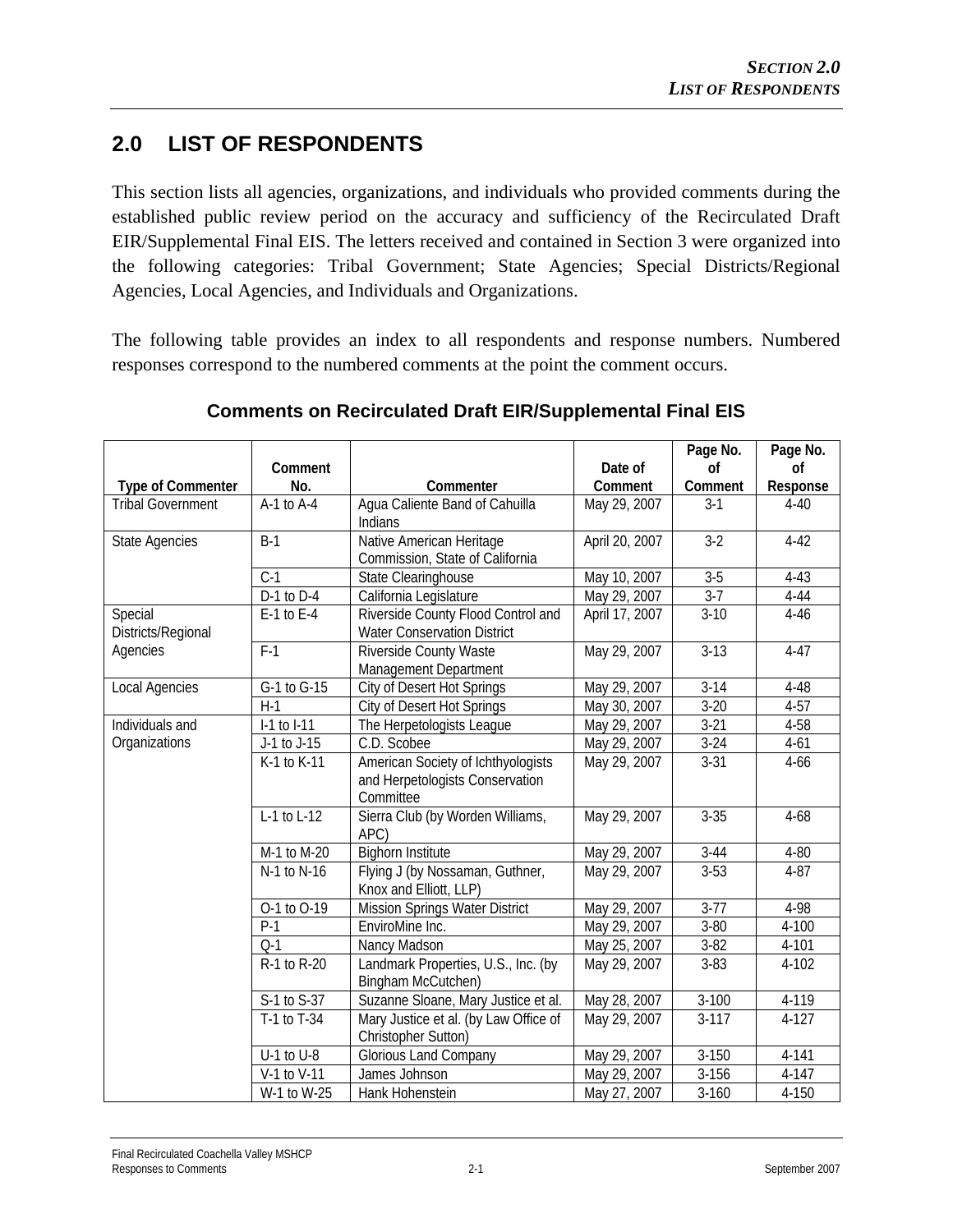## **2.0 LIST OF RESPONDENTS**

This section lists all agencies, organizations, and individuals who provided comments during the established public review period on the accuracy and sufficiency of the Recirculated Draft EIR/Supplemental Final EIS. The letters received and contained in Section 3 were organized into the following categories: Tribal Government; State Agencies; Special Districts/Regional Agencies, Local Agencies, and Individuals and Organizations.

The following table provides an index to all respondents and response numbers. Numbered responses correspond to the numbered comments at the point the comment occurs.

|                          |                  |                                       |                | Page No.  | Page No.  |
|--------------------------|------------------|---------------------------------------|----------------|-----------|-----------|
|                          | Comment          |                                       | Date of        | <b>of</b> | <b>of</b> |
| <b>Type of Commenter</b> | No.              | Commenter                             | Comment        | Comment   | Response  |
| <b>Tribal Government</b> | $A-1$ to $A-4$   | Agua Caliente Band of Cahuilla        | May 29, 2007   | $3-1$     | $4 - 40$  |
|                          |                  | Indians                               |                |           |           |
| <b>State Agencies</b>    | $\overline{B-1}$ | Native American Heritage              | April 20, 2007 | $3-2$     | $4 - 42$  |
|                          |                  | Commission, State of California       |                |           |           |
|                          | $C-1$            | State Clearinghouse                   | May 10, 2007   | $3-5$     | $4 - 43$  |
|                          | D-1 to D-4       | California Legislature                | May 29, 2007   | $3-7$     | $4 - 44$  |
| Special                  | $E-1$ to $E-4$   | Riverside County Flood Control and    | April 17, 2007 | $3-10$    | $4 - 46$  |
| Districts/Regional       |                  | <b>Water Conservation District</b>    |                |           |           |
| Agencies                 | $F-1$            | Riverside County Waste                | May 29, 2007   | $3-13$    | $4 - 47$  |
|                          |                  | Management Department                 |                |           |           |
| Local Agencies           | G-1 to G-15      | City of Desert Hot Springs            | May 29, 2007   | $3-14$    | 4-48      |
|                          | $H-1$            | City of Desert Hot Springs            | May 30, 2007   | $3 - 20$  | $4 - 57$  |
| Individuals and          | I-1 to I-11      | The Herpetologists League             | May 29, 2007   | $3 - 21$  | 4-58      |
| Organizations            | J-1 to J-15      | C.D. Scobee                           | May 29, 2007   | $3 - 24$  | $4 - 61$  |
|                          | K-1 to K-11      | American Society of Ichthyologists    | May 29, 2007   | $3 - 31$  | $4 - 66$  |
|                          |                  | and Herpetologists Conservation       |                |           |           |
|                          |                  | Committee                             |                |           |           |
|                          | L-1 to L-12      | Sierra Club (by Worden Williams,      | May 29, 2007   | $3 - 35$  | $4 - 68$  |
|                          |                  | APC)                                  |                |           |           |
|                          | M-1 to M-20      | <b>Bighorn Institute</b>              | May 29, 2007   | $3 - 44$  | 4-80      |
|                          | N-1 to N-16      | Flying J (by Nossaman, Guthner,       | May 29, 2007   | $3-53$    | $4 - 87$  |
|                          |                  | Knox and Elliott, LLP)                |                |           |           |
|                          | O-1 to O-19      | <b>Mission Springs Water District</b> | May 29, 2007   | $3 - 77$  | 4-98      |
|                          | $P-1$            | EnviroMine Inc.                       | May 29, 2007   | $3 - 80$  | 4-100     |
|                          | $Q-1$            | Nancy Madson                          | May 25, 2007   | $3 - 82$  | 4-101     |
|                          | R-1 to R-20      | Landmark Properties, U.S., Inc. (by   | May 29, 2007   | $3 - 83$  | 4-102     |
|                          |                  | Bingham McCutchen)                    |                |           |           |
|                          | S-1 to S-37      | Suzanne Sloane, Mary Justice et al.   | May 28, 2007   | $3 - 100$ | $4 - 119$ |
|                          | T-1 to T-34      | Mary Justice et al. (by Law Office of | May 29, 2007   | $3-117$   | $4 - 127$ |
|                          |                  | Christopher Sutton)                   |                |           |           |
|                          | $U-1$ to $U-8$   | <b>Glorious Land Company</b>          | May 29, 2007   | $3 - 150$ | $4 - 141$ |
|                          | V-1 to V-11      | James Johnson                         | May 29, 2007   | $3 - 156$ | 4-147     |
|                          | W-1 to W-25      | Hank Hohenstein                       | May 27, 2007   | $3 - 160$ | 4-150     |

## **Comments on Recirculated Draft EIR/Supplemental Final EIS**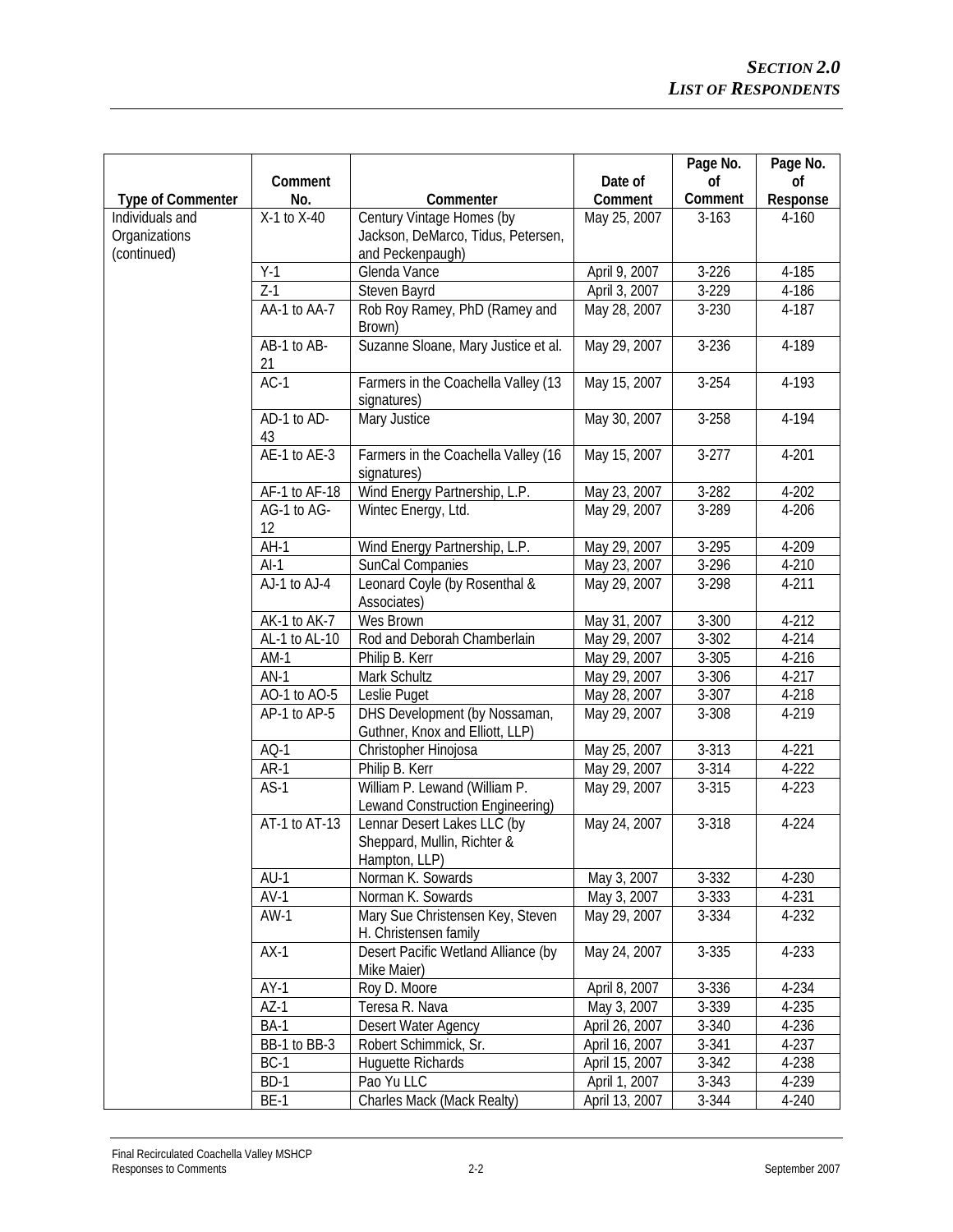|                          |                   |                                                                             |                | Page No.  | Page No.  |
|--------------------------|-------------------|-----------------------------------------------------------------------------|----------------|-----------|-----------|
|                          | Comment           |                                                                             | Date of        | <b>of</b> | <b>of</b> |
| <b>Type of Commenter</b> | No.               | Commenter                                                                   | Comment        | Comment   | Response  |
| Individuals and          | X-1 to X-40       | Century Vintage Homes (by                                                   | May 25, 2007   | $3 - 163$ | 4-160     |
| Organizations            |                   | Jackson, DeMarco, Tidus, Petersen,                                          |                |           |           |
| (continued)              |                   | and Peckenpaugh)                                                            |                |           |           |
|                          | $Y-1$             | Glenda Vance                                                                | April 9, 2007  | $3-226$   | 4-185     |
|                          | $Z-1$             | Steven Bayrd                                                                | April 3, 2007  | $3-229$   | 4-186     |
|                          | AA-1 to AA-7      | Rob Roy Ramey, PhD (Ramey and<br>Brown)                                     | May 28, 2007   | 3-230     | 4-187     |
|                          | AB-1 to AB-<br>21 | Suzanne Sloane, Mary Justice et al.                                         | May 29, 2007   | 3-236     | 4-189     |
|                          | $AC-1$            | Farmers in the Coachella Valley (13<br>signatures)                          | May 15, 2007   | $3 - 254$ | 4-193     |
|                          | AD-1 to AD-       | Mary Justice                                                                | May 30, 2007   | $3 - 258$ | 4-194     |
|                          | 43                |                                                                             |                |           |           |
|                          | AE-1 to AE-3      | Farmers in the Coachella Valley (16<br>signatures)                          | May 15, 2007   | $3 - 277$ | $4 - 201$ |
|                          | AF-1 to AF-18     | Wind Energy Partnership, L.P.                                               | May 23, 2007   | $3 - 282$ | $4 - 202$ |
|                          | AG-1 to AG-       | Wintec Energy, Ltd.                                                         | May 29, 2007   | 3-289     | 4-206     |
|                          | 12                |                                                                             |                |           |           |
|                          | $AH-1$            | Wind Energy Partnership, L.P.                                               | May 29, 2007   | 3-295     | 4-209     |
|                          | $AI-1$            | SunCal Companies                                                            | May 23, 2007   | 3-296     | 4-210     |
|                          | AJ-1 to AJ-4      | Leonard Coyle (by Rosenthal &<br>Associates)                                | May 29, 2007   | 3-298     | $4 - 211$ |
|                          | AK-1 to AK-7      | Wes Brown                                                                   | May 31, 2007   | $3 - 300$ | 4-212     |
|                          | AL-1 to AL-10     | Rod and Deborah Chamberlain                                                 | May 29, 2007   | 3-302     | 4-214     |
|                          | $AM-1$            | Philip B. Kerr                                                              | May 29, 2007   | $3 - 305$ | 4-216     |
|                          | $AN-1$            | Mark Schultz                                                                | May 29, 2007   | 3-306     | $4 - 217$ |
|                          | AO-1 to AO-5      | Leslie Puget                                                                | May 28, 2007   | 3-307     | 4-218     |
|                          | AP-1 to AP-5      | DHS Development (by Nossaman,<br>Guthner, Knox and Elliott, LLP)            | May 29, 2007   | 3-308     | 4-219     |
|                          | $AO-1$            | Christopher Hinojosa                                                        | May 25, 2007   | 3-313     | $4 - 221$ |
|                          | $AR-1$            | Philip B. Kerr                                                              | May 29, 2007   | 3-314     | $4-222$   |
|                          | $AS-1$            | William P. Lewand (William P.<br>Lewand Construction Engineering)           | May 29, 2007   | 3-315     | $4 - 223$ |
|                          | AT-1 to AT-13     | Lennar Desert Lakes LLC (by<br>Sheppard, Mullin, Richter &<br>Hampton, LLP) | May 24, 2007   | 3-318     | $4 - 224$ |
|                          | $AU-1$            | Norman K. Sowards                                                           | May 3, 2007    | 3-332     | 4-230     |
|                          | $AV-1$            | Norman K. Sowards                                                           | May 3, 2007    | 3-333     | 4-231     |
|                          | $AW-1$            | Mary Sue Christensen Key, Steven<br>H. Christensen family                   | May 29, 2007   | 3-334     | 4-232     |
|                          | $AX-1$            | Desert Pacific Wetland Alliance (by<br>Mike Maier)                          | May 24, 2007   | 3-335     | 4-233     |
|                          | $AY-1$            | Roy D. Moore                                                                | April 8, 2007  | 3-336     | 4-234     |
|                          | $AZ-1$            | Teresa R. Nava                                                              | May 3, 2007    | 3-339     | 4-235     |
|                          | <b>BA-1</b>       | Desert Water Agency                                                         | April 26, 2007 | 3-340     | 4-236     |
|                          | BB-1 to BB-3      | Robert Schimmick, Sr.                                                       | April 16, 2007 | 3-341     | 4-237     |
|                          | $BC-1$            | <b>Huguette Richards</b>                                                    | April 15, 2007 | 3-342     | 4-238     |
|                          | BD-1              | Pao Yu LLC                                                                  | April 1, 2007  | $3 - 343$ | 4-239     |
|                          | $BE-1$            | Charles Mack (Mack Realty)                                                  | April 13, 2007 | 3-344     | 4-240     |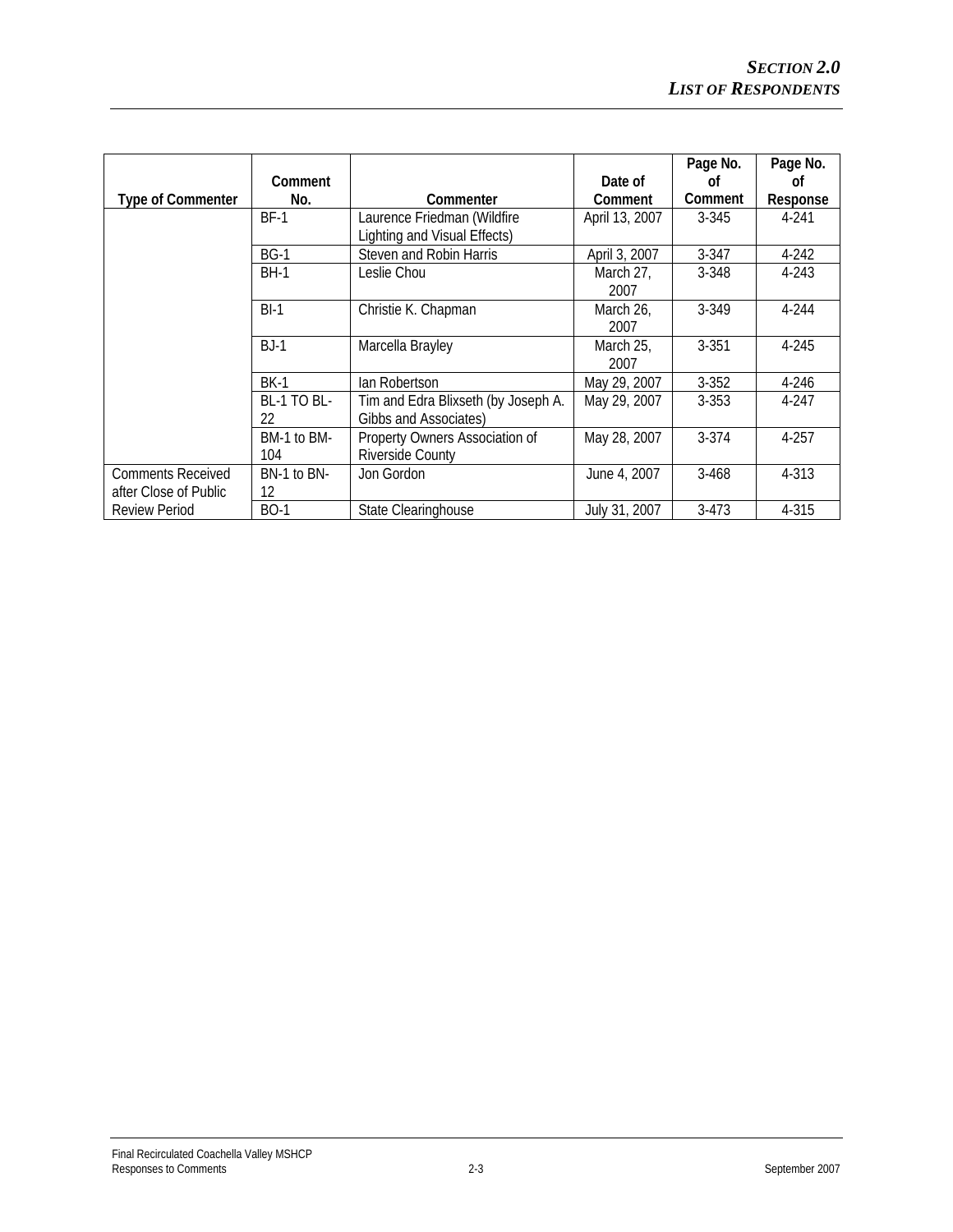|                          |                |                                     |                | Page No.       | Page No.  |
|--------------------------|----------------|-------------------------------------|----------------|----------------|-----------|
|                          | <b>Comment</b> |                                     | Date of        | Ωf             | Ωf        |
| <b>Type of Commenter</b> | No.            | Commenter                           | <b>Comment</b> | <b>Comment</b> | Response  |
|                          | <b>BF-1</b>    | Laurence Friedman (Wildfire         | April 13, 2007 | $3 - 345$      | 4-241     |
|                          |                | Lighting and Visual Effects)        |                |                |           |
|                          | $BG-1$         | Steven and Robin Harris             | April 3, 2007  | 3-347          | $4 - 242$ |
|                          | <b>BH-1</b>    | Leslie Chou                         | March 27,      | $3 - 348$      | 4-243     |
|                          |                |                                     | 2007           |                |           |
|                          | $BI-1$         | Christie K. Chapman                 | March 26,      | 3-349          | 4-244     |
|                          |                |                                     | 2007           |                |           |
|                          | $BJ-1$         | Marcella Brayley                    | March 25,      | $3 - 351$      | 4-245     |
|                          |                |                                     | 2007           |                |           |
|                          | <b>BK-1</b>    | lan Robertson                       | May 29, 2007   | $3 - 352$      | 4-246     |
|                          | BL-1 TO BL-    | Tim and Edra Blixseth (by Joseph A. | May 29, 2007   | $3 - 353$      | 4-247     |
|                          | 22             | Gibbs and Associates)               |                |                |           |
|                          | BM-1 to BM-    | Property Owners Association of      | May 28, 2007   | $3 - 374$      | $4 - 257$ |
|                          | 104            | <b>Riverside County</b>             |                |                |           |
| <b>Comments Received</b> | BN-1 to BN-    | Jon Gordon                          | June 4, 2007   | $3 - 468$      | 4-313     |
| after Close of Public    | 12             |                                     |                |                |           |
| <b>Review Period</b>     | <b>BO-1</b>    | State Clearinghouse                 | July 31, 2007  | $3-473$        | 4-315     |